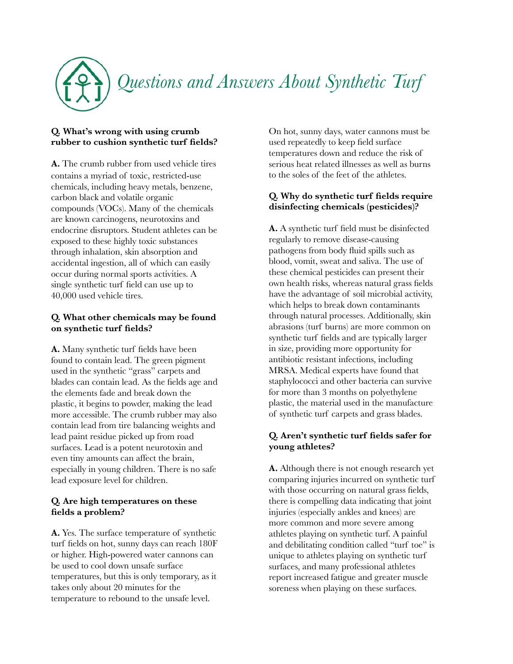

# **Q. What's wrong with using crumb rubber to cushion synthetic turf fields?**

**A.** The crumb rubber from used vehicle tires contains a myriad of toxic, restricted-use chemicals, including heavy metals, benzene, carbon black and volatile organic compounds (VOCs). Many of the chemicals are known carcinogens, neurotoxins and endocrine disruptors. Student athletes can be exposed to these highly toxic substances through inhalation, skin absorption and accidental ingestion, all of which can easily occur during normal sports activities. A single synthetic turf field can use up to 40,000 used vehicle tires.

# **Q. What other chemicals may be found on synthetic turf fields?**

**A.** Many synthetic turf fields have been found to contain lead. The green pigment used in the synthetic "grass" carpets and blades can contain lead. As the fields age and the elements fade and break down the plastic, it begins to powder, making the lead more accessible. The crumb rubber may also contain lead from tire balancing weights and lead paint residue picked up from road surfaces. Lead is a potent neurotoxin and even tiny amounts can affect the brain, especially in young children. There is no safe lead exposure level for children.

# **Q. Are high temperatures on these fields a problem?**

**A.** Yes. The surface temperature of synthetic turf fields on hot, sunny days can reach 180F or higher. High-powered water cannons can be used to cool down unsafe surface temperatures, but this is only temporary, as it takes only about 20 minutes for the temperature to rebound to the unsafe level.

On hot, sunny days, water cannons must be used repeatedly to keep field surface temperatures down and reduce the risk of serious heat related illnesses as well as burns to the soles of the feet of the athletes.

# **Q. Why do synthetic turf fields require disinfecting chemicals (pesticides)?**

**A.** A synthetic turf field must be disinfected regularly to remove disease-causing pathogens from body fluid spills such as blood, vomit, sweat and saliva. The use of these chemical pesticides can present their own health risks, whereas natural grass fields have the advantage of soil microbial activity, which helps to break down contaminants through natural processes. Additionally, skin abrasions (turf burns) are more common on synthetic turf fields and are typically larger in size, providing more opportunity for antibiotic resistant infections, including MRSA. Medical experts have found that staphylococci and other bacteria can survive for more than 3 months on polyethylene plastic, the material used in the manufacture of synthetic turf carpets and grass blades.

# **Q. Aren't synthetic turf fields safer for young athletes?**

**A.** Although there is not enough research yet comparing injuries incurred on synthetic turf with those occurring on natural grass fields, there is compelling data indicating that joint injuries (especially ankles and knees) are more common and more severe among athletes playing on synthetic turf. A painful and debilitating condition called "turf toe" is unique to athletes playing on synthetic turf surfaces, and many professional athletes report increased fatigue and greater muscle soreness when playing on these surfaces.